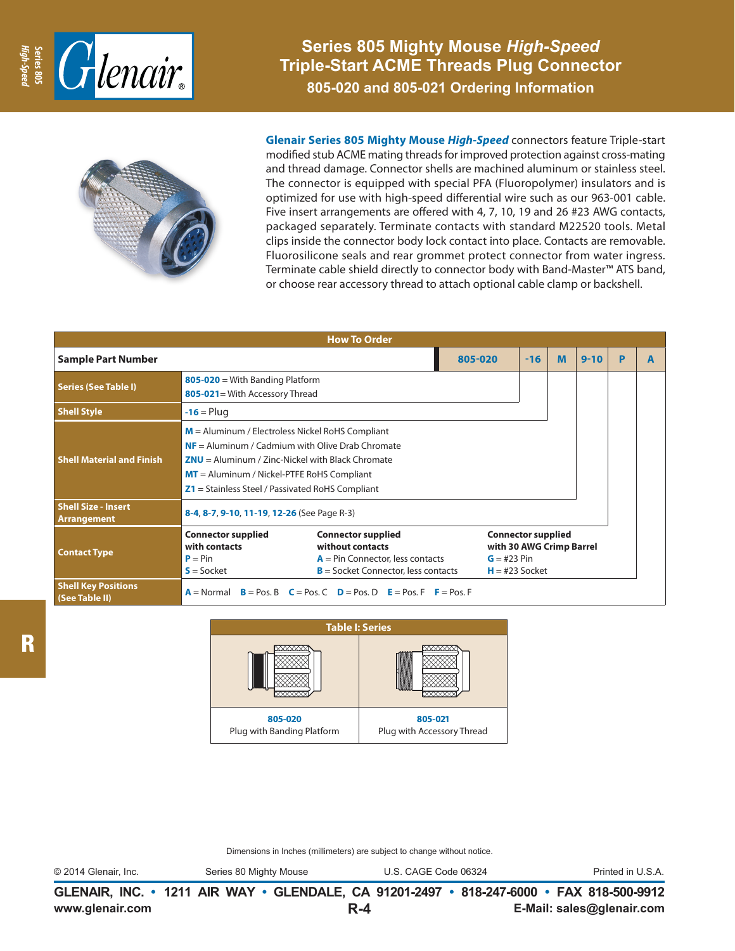

**Series 805 Mighty Mouse** *High-Speed*  **Triple-Start ACME Threads Plug Connector 805-020 and 805-021 Ordering Information**



**Glenair Series 805 Mighty Mouse** *High-Speed* connectors feature Triple-start modified stub ACME mating threads for improved protection against cross-mating and thread damage. Connector shells are machined aluminum or stainless steel. The connector is equipped with special PFA (Fluoropolymer) insulators and is optimized for use with high-speed differential wire such as our 963-001 cable. Five insert arrangements are offered with 4, 7, 10, 19 and 26 #23 AWG contacts, packaged separately. Terminate contacts with standard M22520 tools. Metal clips inside the connector body lock contact into place. Contacts are removable. Fluorosilicone seals and rear grommet protect connector from water ingress. Terminate cable shield directly to connector body with Band-Master™ ATS band, or choose rear accessory thread to attach optional cable clamp or backshell.

| <b>How To Order</b>                          |                                                                                                                                                                                                                                                                      |                                                                                                                              |         |                                                                                            |   |          |   |   |
|----------------------------------------------|----------------------------------------------------------------------------------------------------------------------------------------------------------------------------------------------------------------------------------------------------------------------|------------------------------------------------------------------------------------------------------------------------------|---------|--------------------------------------------------------------------------------------------|---|----------|---|---|
| <b>Sample Part Number</b>                    |                                                                                                                                                                                                                                                                      |                                                                                                                              | 805-020 | $-16$                                                                                      | M | $9 - 10$ | P | A |
| <b>Series (See Table I)</b>                  | $805 - 020 =$ With Banding Platform<br>805-021= With Accessory Thread                                                                                                                                                                                                |                                                                                                                              |         |                                                                                            |   |          |   |   |
| <b>Shell Style</b>                           | $-16$ = Plug                                                                                                                                                                                                                                                         |                                                                                                                              |         |                                                                                            |   |          |   |   |
| <b>Shell Material and Finish</b>             | $M =$ Aluminum / Electroless Nickel RoHS Compliant<br>$NF =$ Aluminum / Cadmium with Olive Drab Chromate<br>$ZNU =$ Aluminum / Zinc-Nickel with Black Chromate<br>$MT =$ Aluminum / Nickel-PTFE RoHS Compliant<br>$Z1$ = Stainless Steel / Passivated RoHS Compliant |                                                                                                                              |         |                                                                                            |   |          |   |   |
| <b>Shell Size - Insert</b><br>Arrangement    | 8-4, 8-7, 9-10, 11-19, 12-26 (See Page R-3)                                                                                                                                                                                                                          |                                                                                                                              |         |                                                                                            |   |          |   |   |
| <b>Contact Type</b>                          | <b>Connector supplied</b><br>with contacts<br>$P = Pin$<br>$S = S$ ocket                                                                                                                                                                                             | <b>Connector supplied</b><br>without contacts<br>$A = Pin$ Connector, less contacts<br>$B =$ Socket Connector, less contacts |         | <b>Connector supplied</b><br>with 30 AWG Crimp Barrel<br>$G = #23 Pin$<br>$H = #23$ Socket |   |          |   |   |
| <b>Shell Key Positions</b><br>(See Table II) |                                                                                                                                                                                                                                                                      | $A =$ Normal $B =$ Pos. B $C =$ Pos. C $D =$ Pos. D $E =$ Pos. F $F =$ Pos. F                                                |         |                                                                                            |   |          |   |   |

| <b>Table I: Series</b>                |                                       |  |  |  |  |
|---------------------------------------|---------------------------------------|--|--|--|--|
|                                       |                                       |  |  |  |  |
| 805-020<br>Plug with Banding Platform | 805-021<br>Plug with Accessory Thread |  |  |  |  |

Dimensions in Inches (millimeters) are subject to change without notice.

© 2014 Glenair, Inc. Series 80 Mighty Mouse U.S. CAGE Code 06324 Printed in U.S.A.

**www.glenair.com E-Mail: sales@glenair.com GLENAIR, INC. • 1211 AIR WAY • GLENDALE, CA 91201-2497 • 818-247-6000 • FAX 818-500-9912 R-4**